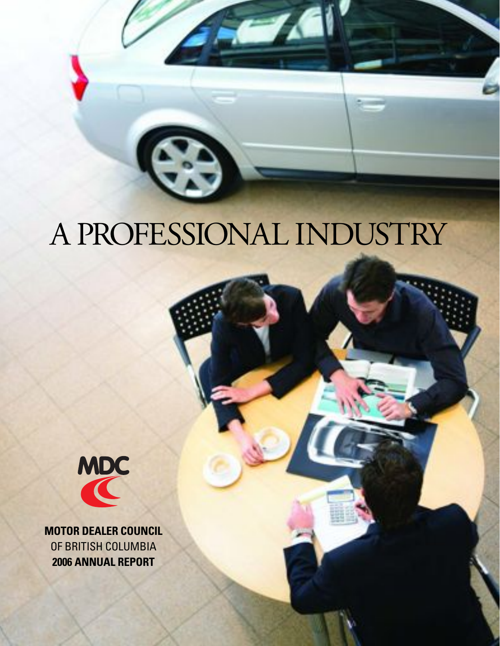# A PROFESSIONAL INDUSTRY



**MOTOR DEALER COUNCIL**  OF BRITISH COLUMBIA **2006 ANNUAL REPORT**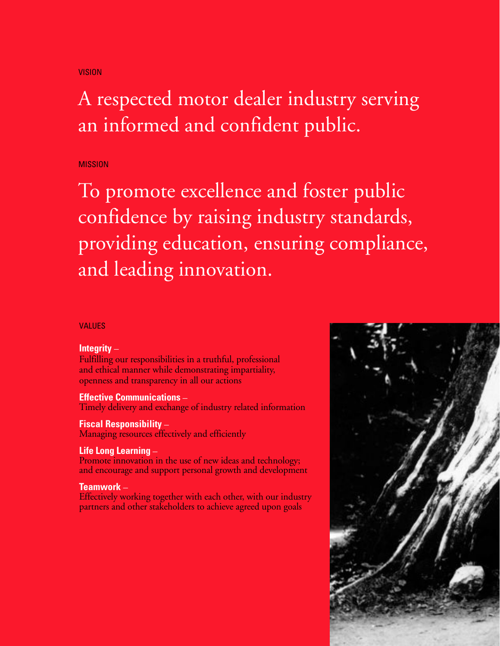#### VISION

## A respected motor dealer industry serving an informed and confident public.

#### MISSION

To promote excellence and foster public confidence by raising industry standards, providing education, ensuring compliance, and leading innovation.

#### VALUES

#### **Integrity** –

Fulfilling our responsibilities in a truthful, professional and ethical manner while demonstrating impartiality, openness and transparency in all our actions

**Effective Communications –**<br>Timely delivery and exchange of industry related information

**Fiscal Responsibility –<br>Managing resources effectively and efficiently** 

**Life Long Learning –**<br>Promote innovation in the use of new ideas and technology; and encourage and support personal growth and development

**Teamwork** – **Effectively** working together with each other, with our industry partners and other stakeholders to achieve agreed upon goals

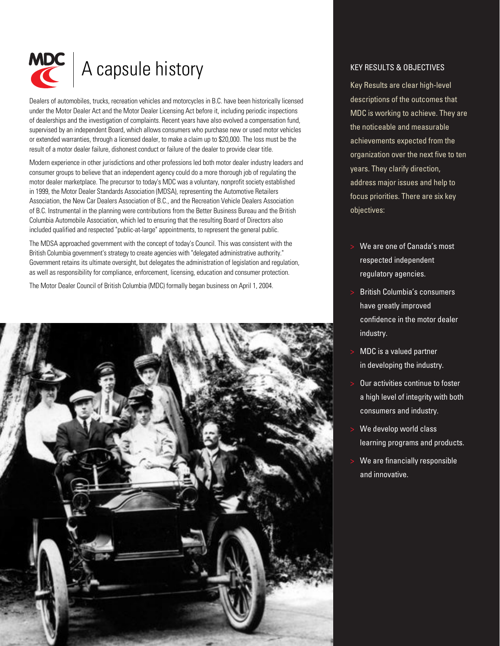

## A capsule history

Dealers of automobiles, trucks, recreation vehicles and motorcycles in B.C. have been historically licensed under the Motor Dealer Act and the Motor Dealer Licensing Act before it, including periodic inspections of dealerships and the investigation of complaints. Recent years have also evolved a compensation fund, supervised by an independent Board, which allows consumers who purchase new or used motor vehicles or extended warranties, through a licensed dealer, to make a claim up to \$20,000. The loss must be the result of a motor dealer failure, dishonest conduct or failure of the dealer to provide clear title.

Modern experience in other jurisdictions and other professions led both motor dealer industry leaders and consumer groups to believe that an independent agency could do a more thorough job of regulating the motor dealer marketplace. The precursor to today's MDC was a voluntary, nonprofit society established in 1999, the Motor Dealer Standards Association (MDSA), representing the Automotive Retailers Association, the New Car Dealers Association of B.C., and the Recreation Vehicle Dealers Association of B.C. Instrumental in the planning were contributions from the Better Business Bureau and the British Columbia Automobile Association, which led to ensuring that the resulting Board of Directors also included qualified and respected "public-at-large" appointments, to represent the general public.

The MDSA approached government with the concept of today's Council. This was consistent with the British Columbia government's strategy to create agencies with "delegated administrative authority." Government retains its ultimate oversight, but delegates the administration of legislation and regulation, as well as responsibility for compliance, enforcement, licensing, education and consumer protection.

The Motor Dealer Council of British Columbia (MDC) formally began business on April 1, 2004.



#### KEY RESULTS & OBJECTIVES

Key Results are clear high-level descriptions of the outcomes that MDC is working to achieve. They are the noticeable and measurable achievements expected from the organization over the next five to ten years. They clarify direction, address major issues and help to focus priorities. There are six key objectives:

- We are one of Canada's most respected independent regulatory agencies.
- British Columbia's consumers have greatly improved confidence in the motor dealer industry.
- MDC is a valued partner in developing the industry.
- Our activities continue to foster a high level of integrity with both consumers and industry.
- We develop world class learning programs and products.
- We are financially responsible and innovative.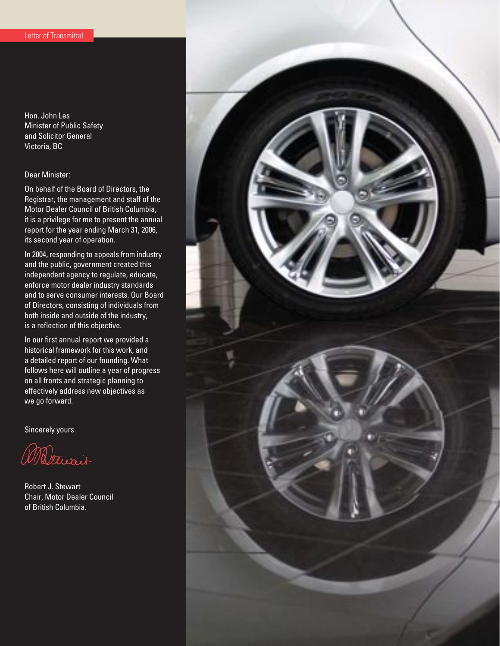Hon. John Les Minister of Public Safety and Solicitor General Victoria, BC

#### Dear Minister:

On behalf of the Board of Directors, the Registrar, the management and staff of the Motor Dealer Council of British Columbia, it is a privilege for me to present the annual report for the year ending March 31, 2006, its second year of operation.

In 2004, responding to appeals from industry and the public, government created this independent agency to regulate, educate, enforce motor dealer industry standards and to serve consumer interests. Our Board of Directors, consisting of individuals from both inside and outside of the industry, is a reflection of this objective.

In our first annual report we provided a historical framework for this work, and a detailed report of our founding. What follows here will outline a year of progress on all fronts and strategic planning to effectively address new objectives as we go forward.

Sincerely yours.

Maturain

Robert J. Stewart Chair, Motor Dealer Council of British Columbia.

![](_page_3_Picture_9.jpeg)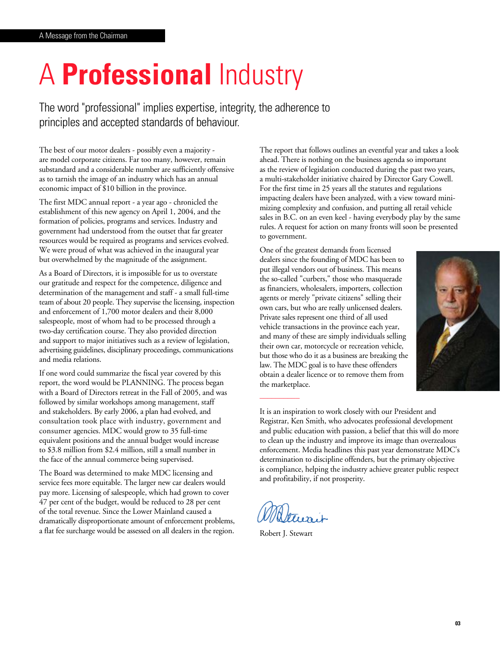# A **Professional** Industry

The word "professional" implies expertise, integrity, the adherence to principles and accepted standards of behaviour.

The best of our motor dealers - possibly even a majority are model corporate citizens. Far too many, however, remain substandard and a considerable number are sufficiently offensive as to tarnish the image of an industry which has an annual economic impact of \$10 billion in the province.

The first MDC annual report - a year ago - chronicled the establishment of this new agency on April 1, 2004, and the formation of policies, programs and services. Industry and government had understood from the outset that far greater resources would be required as programs and services evolved. We were proud of what was achieved in the inaugural year but overwhelmed by the magnitude of the assignment.

As a Board of Directors, it is impossible for us to overstate our gratitude and respect for the competence, diligence and determination of the management and staff - a small full-time team of about 20 people. They supervise the licensing, inspection and enforcement of 1,700 motor dealers and their 8,000 salespeople, most of whom had to be processed through a two-day certification course. They also provided direction and support to major initiatives such as a review of legislation, advertising guidelines, disciplinary proceedings, communications and media relations.

If one word could summarize the fiscal year covered by this report, the word would be PLANNING. The process began with a Board of Directors retreat in the Fall of 2005, and was followed by similar workshops among management, staff and stakeholders. By early 2006, a plan had evolved, and consultation took place with industry, government and consumer agencies. MDC would grow to 35 full-time equivalent positions and the annual budget would increase to \$3.8 million from \$2.4 million, still a small number in the face of the annual commerce being supervised.

The Board was determined to make MDC licensing and service fees more equitable. The larger new car dealers would pay more. Licensing of salespeople, which had grown to cover 47 per cent of the budget, would be reduced to 28 per cent of the total revenue. Since the Lower Mainland caused a dramatically disproportionate amount of enforcement problems, a flat fee surcharge would be assessed on all dealers in the region.

The report that follows outlines an eventful year and takes a look ahead. There is nothing on the business agenda so important as the review of legislation conducted during the past two years, a multi-stakeholder initiative chaired by Director Gary Cowell. For the first time in 25 years all the statutes and regulations impacting dealers have been analyzed, with a view toward minimizing complexity and confusion, and putting all retail vehicle sales in B.C. on an even keel - having everybody play by the same rules. A request for action on many fronts will soon be presented to government.

One of the greatest demands from licensed dealers since the founding of MDC has been to put illegal vendors out of business. This means the so-called "curbers," those who masquerade as financiers, wholesalers, importers, collection agents or merely "private citizens" selling their own cars, but who are really unlicensed dealers. Private sales represent one third of all used vehicle transactions in the province each year, and many of these are simply individuals selling their own car, motorcycle or recreation vehicle, but those who do it as a business are breaking the law. The MDC goal is to have these offenders obtain a dealer licence or to remove them from the marketplace.

![](_page_4_Picture_10.jpeg)

It is an inspiration to work closely with our President and Registrar, Ken Smith, who advocates professional development and public education with passion, a belief that this will do more to clean up the industry and improve its image than overzealous enforcement. Media headlines this past year demonstrate MDC's determination to discipline offenders, but the primary objective is compliance, helping the industry achieve greater public respect and profitability, if not prosperity.

Robert J. Stewart

––––––––––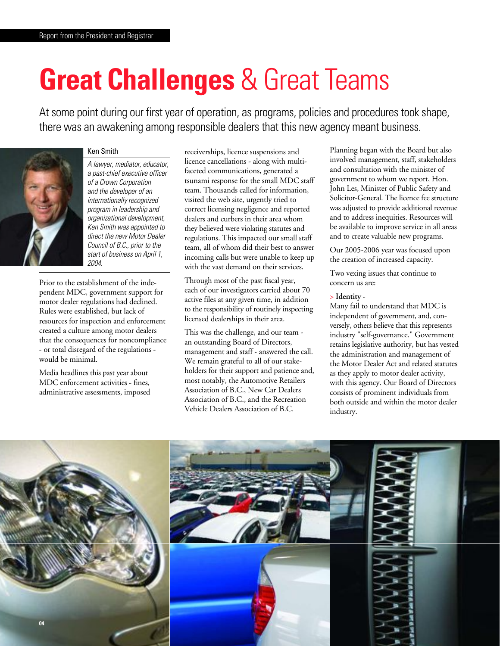# **Great Challenges** & Great Teams

At some point during our first year of operation, as programs, policies and procedures took shape, there was an awakening among responsible dealers that this new agency meant business.

![](_page_5_Picture_3.jpeg)

#### Ken Smith

A lawyer, mediator, educator, a past-chief executive officer of a Crown Corporation and the developer of an internationally recognized program in leadership and organizational development, Ken Smith was appointed to direct the new Motor Dealer Council of B.C., prior to the start of business on April 1, 2004.

Prior to the establishment of the independent MDC, government support for motor dealer regulations had declined. Rules were established, but lack of resources for inspection and enforcement created a culture among motor dealers that the consequences for noncompliance - or total disregard of the regulations would be minimal.

Media headlines this past year about MDC enforcement activities - fines, administrative assessments, imposed receiverships, licence suspensions and licence cancellations - along with multifaceted communications, generated a tsunami response for the small MDC staff team. Thousands called for information, visited the web site, urgently tried to correct licensing negligence and reported dealers and curbers in their area whom they believed were violating statutes and regulations. This impacted our small staff team, all of whom did their best to answer incoming calls but were unable to keep up with the vast demand on their services.

Through most of the past fiscal year, each of our investigators carried about 70 active files at any given time, in addition to the responsibility of routinely inspecting licensed dealerships in their area.

This was the challenge, and our team an outstanding Board of Directors, management and staff - answered the call. We remain grateful to all of our stakeholders for their support and patience and, most notably, the Automotive Retailers Association of B.C., New Car Dealers Association of B.C., and the Recreation Vehicle Dealers Association of B.C.

Planning began with the Board but also involved management, staff, stakeholders and consultation with the minister of government to whom we report, Hon. John Les, Minister of Public Safety and Solicitor-General. The licence fee structure was adjusted to provide additional revenue and to address inequities. Resources will be available to improve service in all areas and to create valuable new programs.

Our 2005-2006 year was focused upon the creation of increased capacity.

Two vexing issues that continue to concern us are:

#### > **Identity** -

Many fail to understand that MDC is independent of government, and, conversely, others believe that this represents industry "self-governance." Government retains legislative authority, but has vested the administration and management of the Motor Dealer Act and related statutes as they apply to motor dealer activity, with this agency. Our Board of Directors consists of prominent individuals from both outside and within the motor dealer industry.

![](_page_5_Picture_16.jpeg)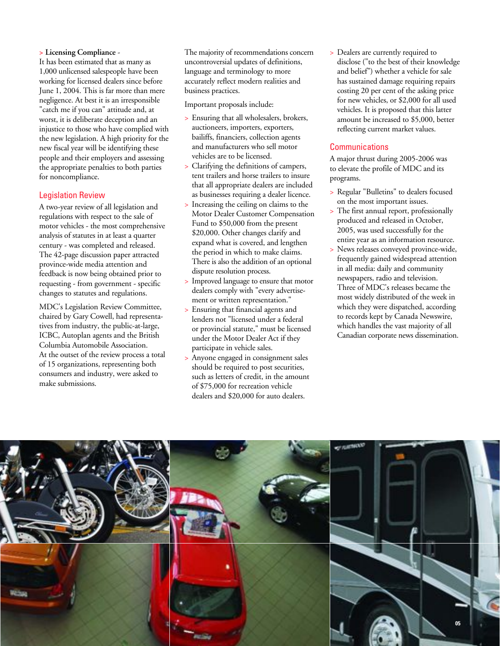#### **> Licensing Compliance** -

It has been estimated that as many as 1,000 unlicensed salespeople have been working for licensed dealers since before June 1, 2004. This is far more than mere negligence. At best it is an irresponsible "catch me if you can" attitude and, at worst, it is deliberate deception and an injustice to those who have complied with the new legislation. A high priority for the new fiscal year will be identifying these people and their employers and assessing the appropriate penalties to both parties for noncompliance.

#### Legislation Review

A two-year review of all legislation and regulations with respect to the sale of motor vehicles - the most comprehensive analysis of statutes in at least a quarter century - was completed and released. The 42-page discussion paper attracted province-wide media attention and feedback is now being obtained prior to requesting - from government - specific changes to statutes and regulations.

MDC's Legislation Review Committee, chaired by Gary Cowell, had representatives from industry, the public-at-large, ICBC, Autoplan agents and the British Columbia Automobile Association. At the outset of the review process a total of 15 organizations, representing both consumers and industry, were asked to make submissions.

The majority of recommendations concern uncontroversial updates of definitions, language and terminology to more accurately reflect modern realities and business practices.

Important proposals include:

- > Ensuring that all wholesalers, brokers, auctioneers, importers, exporters, bailiffs, financiers, collection agents and manufacturers who sell motor vehicles are to be licensed.
- > Clarifying the definitions of campers, tent trailers and horse trailers to insure that all appropriate dealers are included as businesses requiring a dealer licence.
- Increasing the ceiling on claims to the Motor Dealer Customer Compensation Fund to \$50,000 from the present \$20,000. Other changes clarify and expand what is covered, and lengthen the period in which to make claims. There is also the addition of an optional dispute resolution process.
- > Improved language to ensure that motor dealers comply with "every advertisement or written representation."
- > Ensuring that financial agents and lenders not "licensed under a federal or provincial statute," must be licensed under the Motor Dealer Act if they participate in vehicle sales.
- > Anyone engaged in consignment sales should be required to post securities, such as letters of credit, in the amount of \$75,000 for recreation vehicle dealers and \$20,000 for auto dealers.

> Dealers are currently required to disclose ("to the best of their knowledge and belief") whether a vehicle for sale has sustained damage requiring repairs costing 20 per cent of the asking price for new vehicles, or \$2,000 for all used vehicles. It is proposed that this latter amount be increased to \$5,000, better reflecting current market values.

#### **Communications**

A major thrust during 2005-2006 was to elevate the profile of MDC and its programs.

- > Regular "Bulletins" to dealers focused on the most important issues.
- > The first annual report, professionally produced and released in October, 2005, was used successfully for the entire year as an information resource.
- > News releases conveyed province-wide, frequently gained widespread attention in all media: daily and community newspapers, radio and television. Three of MDC's releases became the most widely distributed of the week in which they were dispatched, according to records kept by Canada Newswire, which handles the vast majority of all Canadian corporate news dissemination.

![](_page_6_Picture_19.jpeg)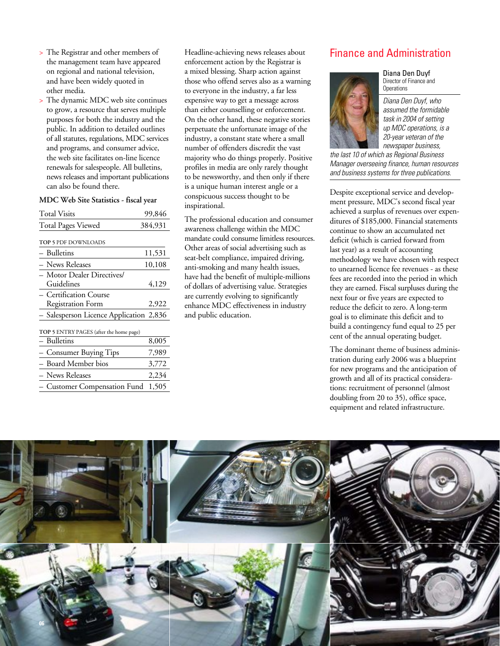- > The Registrar and other members of the management team have appeared on regional and national television, and have been widely quoted in other media.
- > The dynamic MDC web site continues to grow, a resource that serves multiple purposes for both the industry and the public. In addition to detailed outlines of all statutes, regulations, MDC services and programs, and consumer advice, the web site facilitates on-line licence renewals for salespeople. All bulletins, news releases and important publications can also be found there.

#### **MDC Web Site Statistics - fiscal year**

| <b>Total Visits</b>                     | 99,846  |
|-----------------------------------------|---------|
| <b>Total Pages Viewed</b>               | 384,931 |
| TOP 5 PDF DOWNLOADS                     |         |
| – Bulletins                             | 11,531  |
| – News Releases                         | 10,108  |
| - Motor Dealer Directives/              |         |
| Guidelines                              | 4,129   |
| - Certification Course                  |         |
| <b>Registration Form</b>                | 2,922   |
| - Salesperson Licence Application 2,836 |         |
| TOP 5 ENTRY PAGES (after the home page) |         |
| – Bulletins                             | 8,005   |
| - Consumer Buying Tips                  | 7,989   |
| - Board Member bios                     | 3,772   |
| – News Releases                         | 2,234   |
| - Customer Compensation Fund            | 1,505   |

Headline-achieving news releases about enforcement action by the Registrar is a mixed blessing. Sharp action against those who offend serves also as a warning to everyone in the industry, a far less expensive way to get a message across than either counselling or enforcement. On the other hand, these negative stories perpetuate the unfortunate image of the industry, a constant state where a small number of offenders discredit the vast majority who do things properly. Positive profiles in media are only rarely thought to be newsworthy, and then only if there is a unique human interest angle or a conspicuous success thought to be inspirational.

The professional education and consumer awareness challenge within the MDC mandate could consume limitless resources. Other areas of social advertising such as seat-belt compliance, impaired driving, anti-smoking and many health issues, have had the benefit of multiple-millions of dollars of advertising value. Strategies are currently evolving to significantly enhance MDC effectiveness in industry and public education.

#### Finance and Administration

![](_page_7_Picture_7.jpeg)

Diana Den Duyf Director of Finance and **Operations** 

Diana Den Duyf, who assumed the formidable task in 2004 of setting up MDC operations, is a 20-year veteran of the newspaper business,

the last 10 of which as Regional Business Manager overseeing finance, human resources and business systems for three publications.

Despite exceptional service and development pressure, MDC's second fiscal year achieved a surplus of revenues over expenditures of \$185,000. Financial statements continue to show an accumulated net deficit (which is carried forward from last year) as a result of accounting methodology we have chosen with respect to unearned licence fee revenues - as these fees are recorded into the period in which they are earned. Fiscal surpluses during the next four or five years are expected to reduce the deficit to zero. A long-term goal is to eliminate this deficit and to build a contingency fund equal to 25 per cent of the annual operating budget.

The dominant theme of business administration during early 2006 was a blueprint for new programs and the anticipation of growth and all of its practical considerations: recruitment of personnel (almost doubling from 20 to 35), office space, equipment and related infrastructure.

![](_page_7_Picture_13.jpeg)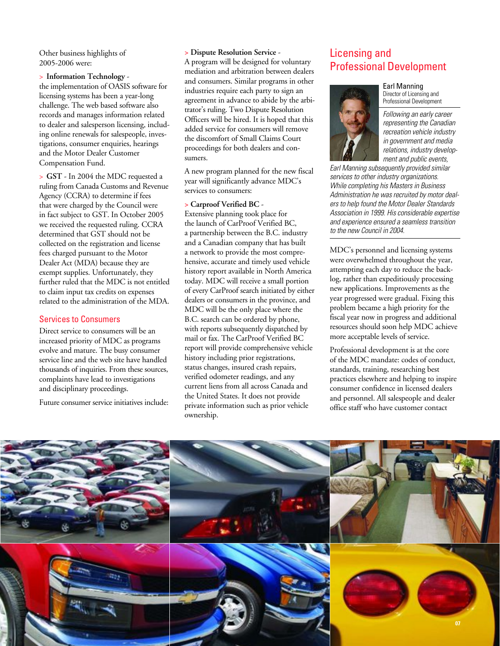Other business highlights of 2005-2006 were:

> **Information Technology** -

the implementation of OASIS software for licensing systems has been a year-long challenge. The web based software also records and manages information related to dealer and salesperson licensing, including online renewals for salespeople, investigations, consumer enquiries, hearings and the Motor Dealer Customer Compensation Fund.

> **GST** - In 2004 the MDC requested a ruling from Canada Customs and Revenue Agency (CCRA) to determine if fees that were charged by the Council were in fact subject to GST. In October 2005 we received the requested ruling. CCRA determined that GST should not be collected on the registration and license fees charged pursuant to the Motor Dealer Act (MDA) because they are exempt supplies. Unfortunately, they further ruled that the MDC is not entitled to claim input tax credits on expenses related to the administration of the MDA.

#### Services to Consumers

Direct service to consumers will be an increased priority of MDC as programs evolve and mature. The busy consumer service line and the web site have handled thousands of inquiries. From these sources, complaints have lead to investigations and disciplinary proceedings.

Future consumer service initiatives include:

#### **> Dispute Resolution Service** -

A program will be designed for voluntary mediation and arbitration between dealers and consumers. Similar programs in other industries require each party to sign an agreement in advance to abide by the arbitrator's ruling. Two Dispute Resolution Officers will be hired. It is hoped that this added service for consumers will remove the discomfort of Small Claims Court proceedings for both dealers and consumers.

A new program planned for the new fiscal year will significantly advance MDC's services to consumers:

#### **> Carproof Verified BC** -

Extensive planning took place for the launch of CarProof Verified BC, a partnership between the B.C. industry and a Canadian company that has built a network to provide the most comprehensive, accurate and timely used vehicle history report available in North America today. MDC will receive a small portion of every CarProof search initiated by either dealers or consumers in the province, and MDC will be the only place where the B.C. search can be ordered by phone, with reports subsequently dispatched by mail or fax. The CarProof Verified BC report will provide comprehensive vehicle history including prior registrations, status changes, insured crash repairs, verified odometer readings, and any current liens from all across Canada and the United States. It does not provide private information such as prior vehicle ownership.

### Licensing and Professional Development

#### Earl Manning

Director of Licensing and Professional Development

Following an early career representing the Canadian recreation vehicle industry in government and media relations, industry development and public events,

Earl Manning subsequently provided similar services to other industry organizations. While completing his Masters in Business Administration he was recruited by motor dealers to help found the Motor Dealer Standards Association in 1999. His considerable expertise and experience ensured a seamless transition to the new Council in 2004.

MDC's personnel and licensing systems were overwhelmed throughout the year, attempting each day to reduce the backlog, rather than expeditiously processing new applications. Improvements as the year progressed were gradual. Fixing this problem became a high priority for the fiscal year now in progress and additional resources should soon help MDC achieve more acceptable levels of service.

Professional development is at the core of the MDC mandate: codes of conduct, standards, training, researching best practices elsewhere and helping to inspire consumer confidence in licensed dealers and personnel. All salespeople and dealer office staff who have customer contact

![](_page_8_Picture_19.jpeg)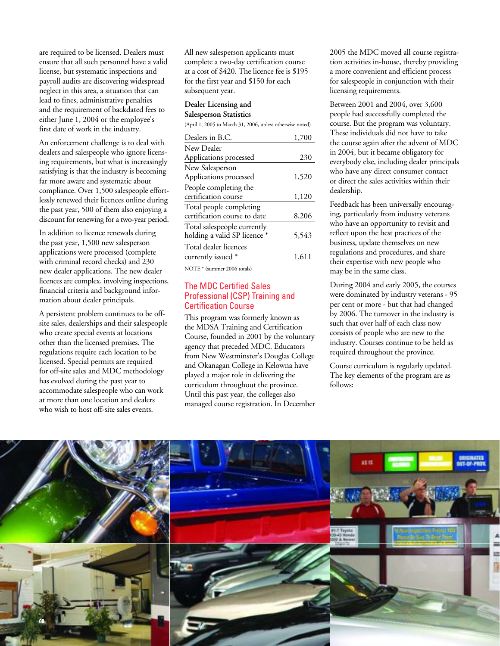are required to be licensed. Dealers must ensure that all such personnel have a valid license, but systematic inspections and payroll audits are discovering widespread neglect in this area, a situation that can lead to fines, administrative penalties and the requirement of backdated fees to either June 1, 2004 or the employee's first date of work in the industry.

An enforcement challenge is to deal with dealers and salespeople who ignore licensing requirements, but what is increasingly satisfying is that the industry is becoming far more aware and systematic about compliance. Over 1,500 salespeople effortlessly renewed their licences online during the past year, 500 of them also enjoying a discount for renewing for a two-year period.

In addition to licence renewals during the past year, 1,500 new salesperson applications were processed (complete with criminal record checks) and 230 new dealer applications. The new dealer licences are complex, involving inspections, financial criteria and background information about dealer principals.

A persistent problem continues to be offsite sales, dealerships and their salespeople who create special events at locations other than the licensed premises. The regulations require each location to be licensed. Special permits are required for off-site sales and MDC methodology has evolved during the past year to accommodate salespeople who can work at more than one location and dealers who wish to host off-site sales events.

All new salesperson applicants must complete a two-day certification course at a cost of \$420. The licence fee is \$195 for the first year and \$150 for each subsequent year.

#### **Dealer Licensing and Salesperson Statistics**

(April 1, 2005 to March 31, 2006, unless otherwise noted)

| Dealers in B.C.              | 1,700 |
|------------------------------|-------|
| New Dealer                   |       |
| Applications processed       | 230   |
|                              |       |
| New Salesperson              |       |
| Applications processed       | 1,520 |
| People completing the        |       |
| certification course         | 1,120 |
| Total people completing      |       |
| certification course to date | 8,206 |
| Total salespeople currently  |       |
| holding a valid SP licence * | 5,543 |
| Total dealer licences        |       |
| currently issued *           | 1.611 |
|                              |       |

NOTE \* (summer 2006 totals)

#### The MDC Certified Sales Professional (CSP) Training and Certification Course

This program was formerly known as the MDSA Training and Certification Course, founded in 2001 by the voluntary agency that preceded MDC. Educators from New Westminster's Douglas College and Okanagan College in Kelowna have played a major role in delivering the curriculum throughout the province. Until this past year, the colleges also managed course registration. In December 2005 the MDC moved all course registration activities in-house, thereby providing a more convenient and efficient process for salespeople in conjunction with their licensing requirements.

Between 2001 and 2004, over 3,600 people had successfully completed the course. But the program was voluntary. These individuals did not have to take the course again after the advent of MDC in 2004, but it became obligatory for everybody else, including dealer principals who have any direct consumer contact or direct the sales activities within their dealership.

Feedback has been universally encouraging, particularly from industry veterans who have an opportunity to revisit and reflect upon the best practices of the business, update themselves on new regulations and procedures, and share their expertise with new people who may be in the same class.

During 2004 and early 2005, the courses were dominated by industry veterans - 95 per cent or more - but that had changed by 2006. The turnover in the industry is such that over half of each class now consists of people who are new to the industry. Courses continue to be held as required throughout the province.

Course curriculum is regularly updated. The key elements of the program are as follows:

![](_page_9_Picture_16.jpeg)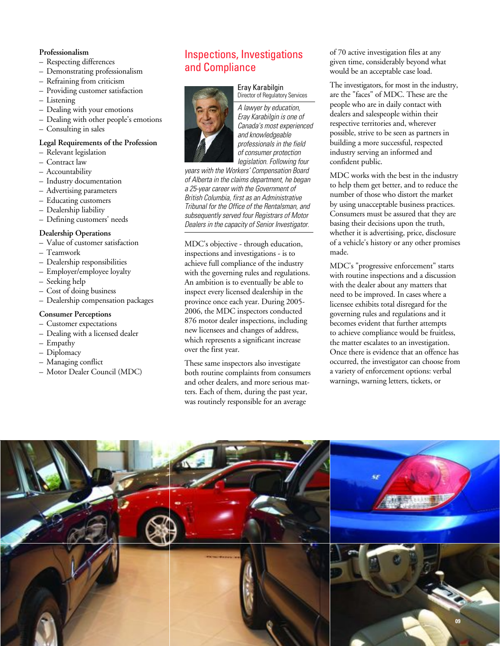#### **Professionalism**

- Respecting differences
- Demonstrating professionalism
- Refraining from criticism
- Providing customer satisfaction
- Listening
- Dealing with your emotions
- Dealing with other people's emotions
- Consulting in sales

#### **Legal Requirements of the Profession**

- Relevant legislation
- Contract law
- Accountability
- Industry documentation
- Advertising parameters
- Educating customers
- Dealership liability
- Defining customers' needs

#### **Dealership Operations**

- Value of customer satisfaction
- Teamwork
- Dealership responsibilities
- Employer/employee loyalty
- Seeking help
- Cost of doing business
- Dealership compensation packages

#### **Consumer Perceptions**

- Customer expectations
- Dealing with a licensed dealer
- Empathy
- Diplomacy
- Managing conflict
- Motor Dealer Council (MDC)

### Inspections, Investigations and Compliance

#### Eray Karabilgin Director of Regulatory Services

![](_page_10_Picture_35.jpeg)

A lawyer by education, Eray Karabilgin is one of Canada's most experienced and knowledgeable professionals in the field of consumer protection legislation. Following four

years with the Workers' Compensation Board of Alberta in the claims department, he began a 25-year career with the Government of British Columbia, first as an Administrative Tribunal for the Office of the Rentalsman, and subsequently served four Registrars of Motor Dealers in the capacity of Senior Investigator.

MDC's objective - through education, inspections and investigations - is to achieve full compliance of the industry with the governing rules and regulations. An ambition is to eventually be able to inspect every licensed dealership in the province once each year. During 2005- 2006, the MDC inspectors conducted 876 motor dealer inspections, including new licensees and changes of address, which represents a significant increase over the first year.

These same inspectors also investigate both routine complaints from consumers and other dealers, and more serious matters. Each of them, during the past year, was routinely responsible for an average

of 70 active investigation files at any given time, considerably beyond what would be an acceptable case load.

The investigators, for most in the industry, are the "faces" of MDC. These are the people who are in daily contact with dealers and salespeople within their respective territories and, wherever possible, strive to be seen as partners in building a more successful, respected industry serving an informed and confident public.

MDC works with the best in the industry to help them get better, and to reduce the number of those who distort the market by using unacceptable business practices. Consumers must be assured that they are basing their decisions upon the truth, whether it is advertising, price, disclosure of a vehicle's history or any other promises made.

MDC's "progressive enforcement" starts with routine inspections and a discussion with the dealer about any matters that need to be improved. In cases where a licensee exhibits total disregard for the governing rules and regulations and it becomes evident that further attempts to achieve compliance would be fruitless, the matter escalates to an investigation. Once there is evidence that an offence has occurred, the investigator can choose from a variety of enforcement options: verbal warnings, warning letters, tickets, or

![](_page_10_Picture_44.jpeg)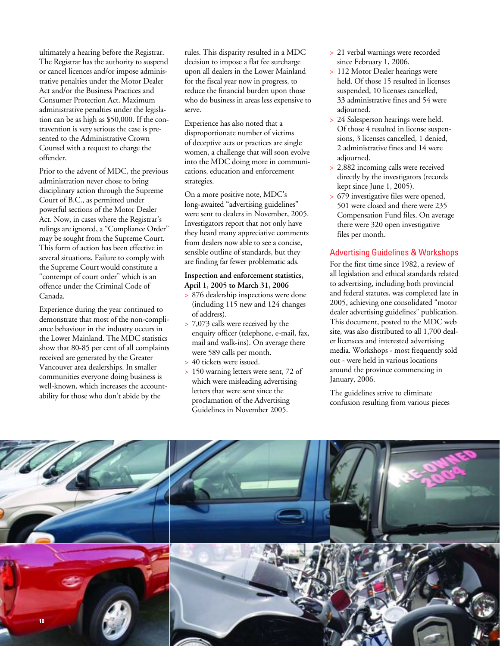ultimately a hearing before the Registrar. The Registrar has the authority to suspend or cancel licences and/or impose administrative penalties under the Motor Dealer Act and/or the Business Practices and Consumer Protection Act. Maximum administrative penalties under the legislation can be as high as \$50,000. If the contravention is very serious the case is presented to the Administrative Crown Counsel with a request to charge the offender.

Prior to the advent of MDC, the previous administration never chose to bring disciplinary action through the Supreme Court of B.C., as permitted under powerful sections of the Motor Dealer Act. Now, in cases where the Registrar's rulings are ignored, a "Compliance Order" may be sought from the Supreme Court. This form of action has been effective in several situations. Failure to comply with the Supreme Court would constitute a "contempt of court order" which is an offence under the Criminal Code of Canada.

Experience during the year continued to demonstrate that most of the non-compliance behaviour in the industry occurs in the Lower Mainland. The MDC statistics show that 80-85 per cent of all complaints received are generated by the Greater Vancouver area dealerships. In smaller communities everyone doing business is well-known, which increases the accountability for those who don't abide by the

rules. This disparity resulted in a MDC decision to impose a flat fee surcharge upon all dealers in the Lower Mainland for the fiscal year now in progress, to reduce the financial burden upon those who do business in areas less expensive to serve.

Experience has also noted that a disproportionate number of victims of deceptive acts or practices are single women, a challenge that will soon evolve into the MDC doing more in communications, education and enforcement strategies.

On a more positive note, MDC's long-awaited "advertising guidelines" were sent to dealers in November, 2005. Investigators report that not only have they heard many appreciative comments from dealers now able to see a concise, sensible outline of standards, but they are finding far fewer problematic ads.

#### **Inspection and enforcement statistics, April 1, 2005 to March 31, 2006**

- > 876 dealership inspections were done (including 115 new and 124 changes of address).
- > 7,073 calls were received by the enquiry officer (telephone, e-mail, fax, mail and walk-ins). On average there were 589 calls per month.
- > 40 tickets were issued.
- > 150 warning letters were sent, 72 of which were misleading advertising letters that were sent since the proclamation of the Advertising Guidelines in November 2005.
- > 21 verbal warnings were recorded since February 1, 2006.
- > 112 Motor Dealer hearings were held. Of those 15 resulted in licenses suspended, 10 licenses cancelled, 33 administrative fines and 54 were adjourned.
- > 24 Salesperson hearings were held. Of those 4 resulted in license suspensions, 3 licenses cancelled, 1 denied, 2 administrative fines and 14 were adjourned.
- > 2,882 incoming calls were received directly by the investigators (records kept since June 1, 2005).
- > 679 investigative files were opened, 501 were closed and there were 235 Compensation Fund files. On average there were 320 open investigative files per month.

#### Advertising Guidelines & Workshops

For the first time since 1982, a review of all legislation and ethical standards related to advertising, including both provincial and federal statutes, was completed late in 2005, achieving one consolidated "motor dealer advertising guidelines" publication. This document, posted to the MDC web site, was also distributed to all 1,700 dealer licensees and interested advertising media. Workshops - most frequently sold out - were held in various locations around the province commencing in January, 2006.

The guidelines strive to eliminate confusion resulting from various pieces

![](_page_11_Picture_19.jpeg)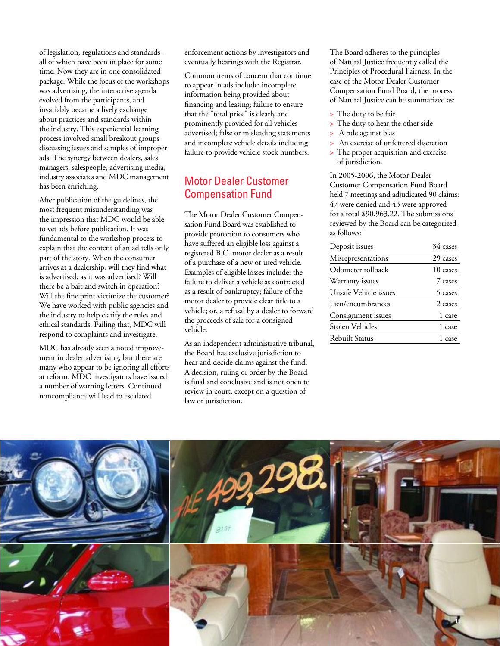of legislation, regulations and standards all of which have been in place for some time. Now they are in one consolidated package. While the focus of the workshops was advertising, the interactive agenda evolved from the participants, and invariably became a lively exchange about practices and standards within the industry. This experiential learning process involved small breakout groups discussing issues and samples of improper ads. The synergy between dealers, sales managers, salespeople, advertising media, industry associates and MDC management has been enriching.

After publication of the guidelines, the most frequent misunderstanding was the impression that MDC would be able to vet ads before publication. It was fundamental to the workshop process to explain that the content of an ad tells only part of the story. When the consumer arrives at a dealership, will they find what is advertised, as it was advertised? Will there be a bait and switch in operation? Will the fine print victimize the customer? We have worked with public agencies and the industry to help clarify the rules and ethical standards. Failing that, MDC will respond to complaints and investigate.

MDC has already seen a noted improvement in dealer advertising, but there are many who appear to be ignoring all efforts at reform. MDC investigators have issued a number of warning letters. Continued noncompliance will lead to escalated

enforcement actions by investigators and eventually hearings with the Registrar.

Common items of concern that continue to appear in ads include: incomplete information being provided about financing and leasing; failure to ensure that the "total price" is clearly and prominently provided for all vehicles advertised; false or misleading statements and incomplete vehicle details including failure to provide vehicle stock numbers.

### Motor Dealer Customer Compensation Fund

The Motor Dealer Customer Compensation Fund Board was established to provide protection to consumers who have suffered an eligible loss against a registered B.C. motor dealer as a result of a purchase of a new or used vehicle. Examples of eligible losses include: the failure to deliver a vehicle as contracted as a result of bankruptcy; failure of the motor dealer to provide clear title to a vehicle; or, a refusal by a dealer to forward the proceeds of sale for a consigned vehicle.

As an independent administrative tribunal, the Board has exclusive jurisdiction to hear and decide claims against the fund. A decision, ruling or order by the Board is final and conclusive and is not open to review in court, except on a question of law or jurisdiction.

The Board adheres to the principles of Natural Justice frequently called the Principles of Procedural Fairness. In the case of the Motor Dealer Customer Compensation Fund Board, the process of Natural Justice can be summarized as:

- > The duty to be fair
- > The duty to hear the other side
- > A rule against bias
- An exercise of unfettered discretion
- > The proper acquisition and exercise of jurisdiction.

In 2005-2006, the Motor Dealer Customer Compensation Fund Board held 7 meetings and adjudicated 90 claims: 47 were denied and 43 were approved for a total \$90,963.22. The submissions reviewed by the Board can be categorized as follows:

| Deposit issues         | 34 cases |
|------------------------|----------|
| Misrepresentations     | 29 cases |
| Odometer rollback      | 10 cases |
| Warranty issues        | 7 cases  |
| Unsafe Vehicle issues  | 5 cases  |
| Lien/encumbrances      | 2 cases  |
| Consignment issues     | 1 case   |
| <b>Stolen Vehicles</b> | 1 case   |
| <b>Rebuilt Status</b>  | 1 case   |
|                        |          |

![](_page_12_Picture_16.jpeg)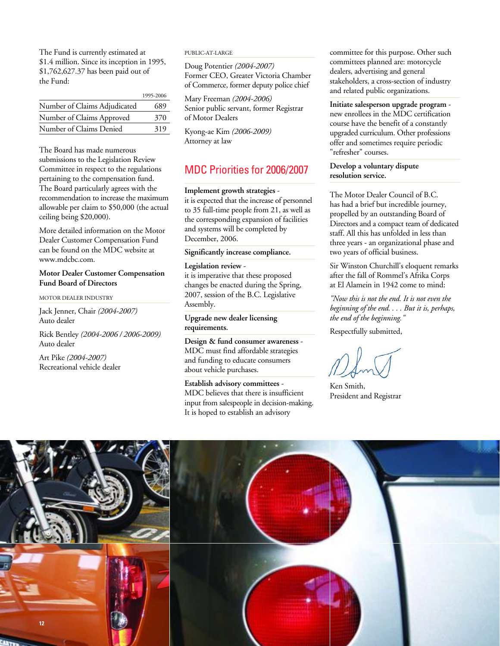The Fund is currently estimated at \$1.4 million. Since its inception in 1995, \$1,762,627.37 has been paid out of the Fund:

|                              | 1995-2006 |
|------------------------------|-----------|
| Number of Claims Adjudicated | 689       |
| Number of Claims Approved    | 370       |
| Number of Claims Denied      | 319       |

The Board has made numerous submissions to the Legislation Review Committee in respect to the regulations pertaining to the compensation fund. The Board particularly agrees with the recommendation to increase the maximum allowable per claim to \$50,000 (the actual ceiling being \$20,000).

More detailed information on the Motor Dealer Customer Compensation Fund can be found on the MDC website at www.mdcbc.com.

#### **Motor Dealer Customer Compensation Fund Board of Directors**

MOTOR DEALER INDUSTRY

Jack Jenner, Chair *(2004-2007)*  Auto dealer

Rick Bentley *(2004-2006 / 2006-2009)*  Auto dealer

Art Pike *(2004-2007)* Recreational vehicle dealer

#### PUBLIC-AT-LARGE

Doug Potentier *(2004-2007)*  Former CEO, Greater Victoria Chamber of Commerce, former deputy police chief

Mary Freeman *(2004-2006)*  Senior public servant, former Registrar of Motor Dealers

Kyong-ae Kim *(2006-2009)* Attorney at law

#### MDC Priorities for 2006/2007

#### **Implement growth strategies** -

it is expected that the increase of personnel to 35 full-time people from 21, as well as the corresponding expansion of facilities and systems will be completed by December, 2006.

#### **Significantly increase compliance.**

**Legislation review**  it is imperative that these proposed changes be enacted during the Spring, 2007, session of the B.C. Legislative Assembly.

**Upgrade new dealer licensing requirements.**

**Design & fund consumer awareness** - MDC must find affordable strategies and funding to educate consumers about vehicle purchases.

#### **Establish advisory committees** -

MDC believes that there is insufficient input from salespeople in decision-making. It is hoped to establish an advisory

committee for this purpose. Other such committees planned are: motorcycle dealers, advertising and general stakeholders, a cross-section of industry and related public organizations.

**Initiate salesperson upgrade program** new enrollees in the MDC certification course have the benefit of a constantly upgraded curriculum. Other professions offer and sometimes require periodic "refresher" courses.

#### **Develop a voluntary dispute resolution service.**

The Motor Dealer Council of B.C. has had a brief but incredible journey, propelled by an outstanding Board of Directors and a compact team of dedicated staff. All this has unfolded in less than three years - an organizational phase and two years of official business.

Sir Winston Churchill's eloquent remarks after the fall of Rommel's Afrika Corps at El Alamein in 1942 come to mind:

*"Now this is not the end. It is not even the beginning of the end. . . . But it is, perhaps, the end of the beginning."*

Respectfully submitted,

Ken Smith, President and Registrar

![](_page_13_Picture_31.jpeg)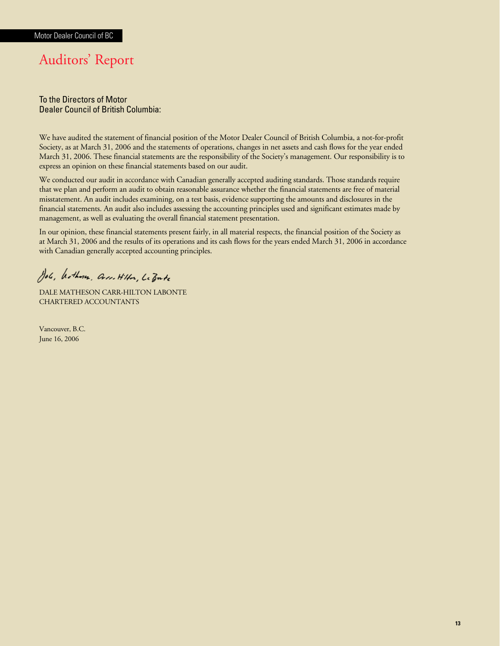## Auditors' Report

#### To the Directors of Motor Dealer Council of British Columbia:

We have audited the statement of financial position of the Motor Dealer Council of British Columbia, a not-for-profit Society, as at March 31, 2006 and the statements of operations, changes in net assets and cash flows for the year ended March 31, 2006. These financial statements are the responsibility of the Society's management. Our responsibility is to express an opinion on these financial statements based on our audit.

We conducted our audit in accordance with Canadian generally accepted auditing standards. Those standards require that we plan and perform an audit to obtain reasonable assurance whether the financial statements are free of material misstatement. An audit includes examining, on a test basis, evidence supporting the amounts and disclosures in the financial statements. An audit also includes assessing the accounting principles used and significant estimates made by management, as well as evaluating the overall financial statement presentation.

In our opinion, these financial statements present fairly, in all material respects, the financial position of the Society as at March 31, 2006 and the results of its operations and its cash flows for the years ended March 31, 2006 in accordance with Canadian generally accepted accounting principles.

Job, Wethour, Cross. Hillen, LeBute

DALE MATHESON CARR-HILTON LABONTE CHARTERED ACCOUNTANTS

Vancouver, B.C. June 16, 2006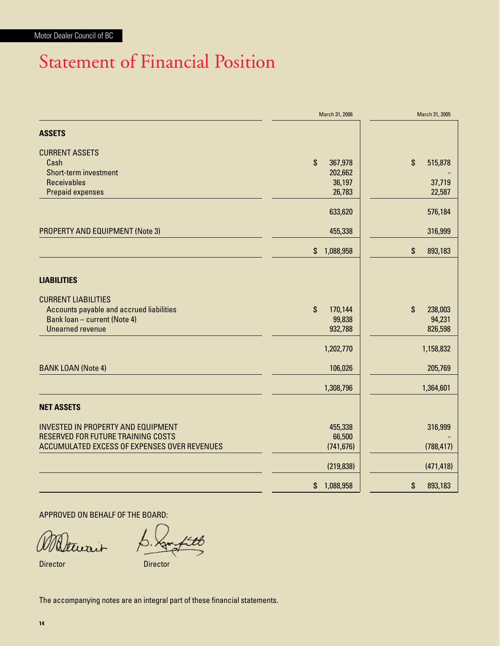## Statement of Financial Position

|                                              | March 31, 2006                       | March 31, 2005                       |
|----------------------------------------------|--------------------------------------|--------------------------------------|
| <b>ASSETS</b>                                |                                      |                                      |
| <b>CURRENT ASSETS</b>                        |                                      |                                      |
| Cash                                         | $\boldsymbol{\mathsf{S}}$<br>367,978 | $\boldsymbol{\mathsf{S}}$<br>515,878 |
| <b>Short-term investment</b>                 | 202,662                              |                                      |
| <b>Receivables</b>                           | 36,197                               | 37,719                               |
| <b>Prepaid expenses</b>                      | 26,783                               | 22,587                               |
|                                              | 633,620                              | 576,184                              |
| <b>PROPERTY AND EQUIPMENT (Note 3)</b>       | 455,338                              | 316,999                              |
|                                              | \$<br>1,088,958                      | \$<br>893,183                        |
| <b>LIABILITIES</b>                           |                                      |                                      |
|                                              |                                      |                                      |
| <b>CURRENT LIABILITIES</b>                   |                                      |                                      |
| Accounts payable and accrued liabilities     | $\mathbf{\hat{s}}$<br>170,144        | \$<br>238,003                        |
| Bank loan - current (Note 4)                 | 99,838                               | 94,231                               |
| <b>Unearned revenue</b>                      | 932,788                              | 826,598                              |
|                                              | 1,202,770                            | 1,158,832                            |
| <b>BANK LOAN (Note 4)</b>                    | 106,026                              | 205,769                              |
|                                              | 1,308,796                            | 1,364,601                            |
| <b>NET ASSETS</b>                            |                                      |                                      |
| INVESTED IN PROPERTY AND EQUIPMENT           | 455,338                              | 316,999                              |
| <b>RESERVED FOR FUTURE TRAINING COSTS</b>    | 66,500                               |                                      |
| ACCUMULATED EXCESS OF EXPENSES OVER REVENUES | (741, 676)                           | (788, 417)                           |
|                                              | (219, 838)                           | (471, 418)                           |
|                                              | 1,088,958<br>\$                      | 893,183<br>\$                        |

APPROVED ON BEHALF OF THE BOARD:

Dtwait

Director Director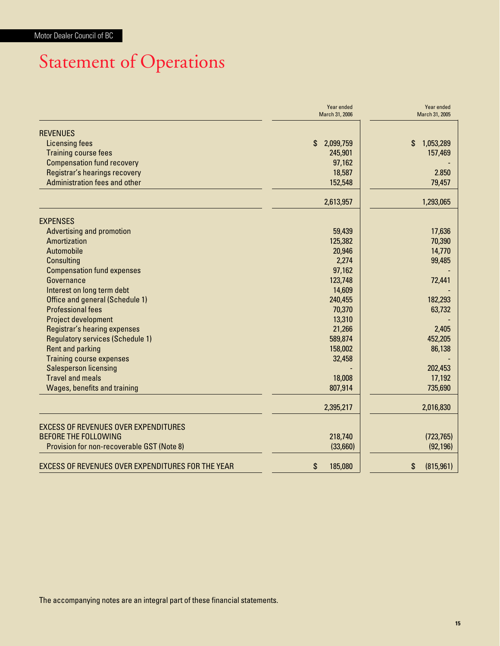# Statement of Operations

|                                                   | Year ended<br>March 31, 2006 | Year ended<br>March 31, 2005 |
|---------------------------------------------------|------------------------------|------------------------------|
| <b>REVENUES</b>                                   |                              |                              |
| Licensing fees                                    | \$<br>2,099,759              | 1,053,289<br>\$              |
| <b>Training course fees</b>                       | 245,901                      | 157,469                      |
| <b>Compensation fund recovery</b>                 | 97,162                       |                              |
| Registrar's hearings recovery                     | 18,587                       | 2.850                        |
| Administration fees and other                     | 152,548                      | 79,457                       |
|                                                   | 2,613,957                    | 1,293,065                    |
| <b>EXPENSES</b>                                   |                              |                              |
| <b>Advertising and promotion</b>                  | 59,439                       | 17,636                       |
| Amortization                                      | 125,382                      | 70,390                       |
| Automobile                                        | 20,946                       | 14,770                       |
| <b>Consulting</b>                                 | 2,274                        | 99,485                       |
| <b>Compensation fund expenses</b>                 | 97,162                       |                              |
| Governance                                        | 123,748                      | 72,441                       |
| Interest on long term debt                        | 14,609                       |                              |
| Office and general (Schedule 1)                   | 240,455                      | 182,293                      |
| <b>Professional fees</b>                          | 70,370                       | 63,732                       |
| Project development                               | 13,310                       |                              |
| Registrar's hearing expenses                      | 21,266                       | 2,405                        |
| <b>Regulatory services (Schedule 1)</b>           | 589,874                      | 452,205                      |
| <b>Rent and parking</b>                           | 158,002                      | 86,138                       |
| <b>Training course expenses</b>                   | 32,458                       |                              |
| <b>Salesperson licensing</b>                      |                              | 202,453                      |
| <b>Travel and meals</b>                           | 18,008                       | 17,192                       |
| <b>Wages, benefits and training</b>               | 807,914                      | 735,690                      |
|                                                   | 2,395,217                    | 2,016,830                    |
| <b>EXCESS OF REVENUES OVER EXPENDITURES</b>       |                              |                              |
| <b>BEFORE THE FOLLOWING</b>                       | 218,740                      | (723, 765)                   |
| Provision for non-recoverable GST (Note 8)        | (33,660)                     | (92, 196)                    |
| EXCESS OF REVENUES OVER EXPENDITURES FOR THE YEAR | \$<br>185,080                | (815, 961)<br>\$             |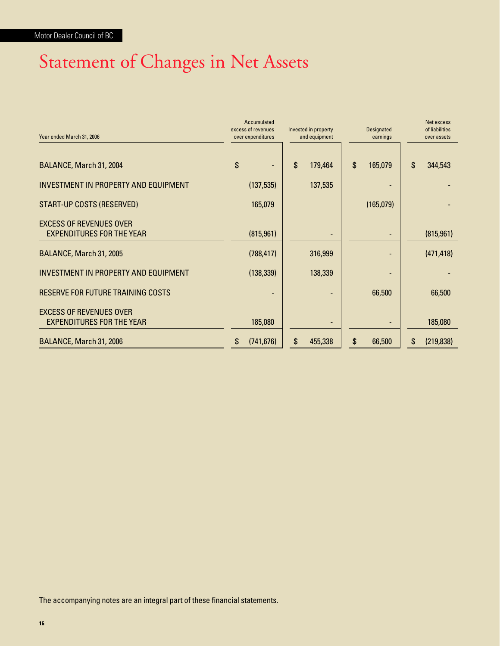## Statement of Changes in Net Assets

| Year ended March 31, 2006                   | excess of revenues<br>over expenditures | Accumulated | Invested in property<br>and equipment |                           | <b>Designated</b><br>earnings | Net excess<br>of liabilities<br>over assets |
|---------------------------------------------|-----------------------------------------|-------------|---------------------------------------|---------------------------|-------------------------------|---------------------------------------------|
|                                             | \$                                      |             | \$                                    | $\boldsymbol{\mathsf{S}}$ |                               | \$                                          |
| BALANCE, March 31, 2004                     |                                         |             | 179,464                               |                           | 165,079                       | 344,543                                     |
| <b>INVESTMENT IN PROPERTY AND EQUIPMENT</b> |                                         | (137, 535)  | 137,535                               |                           |                               |                                             |
| START-UP COSTS (RESERVED)                   |                                         | 165,079     |                                       |                           | (165,079)                     |                                             |
| <b>EXCESS OF REVENUES OVER</b>              |                                         |             |                                       |                           |                               |                                             |
| <b>EXPENDITURES FOR THE YEAR</b>            |                                         | (815, 961)  |                                       |                           |                               | (815, 961)                                  |
| BALANCE, March 31, 2005                     |                                         | (788, 417)  | 316,999                               |                           |                               | (471, 418)                                  |
| INVESTMENT IN PROPERTY AND EQUIPMENT        |                                         | (138, 339)  | 138,339                               |                           |                               |                                             |
| RESERVE FOR FUTURE TRAINING COSTS           |                                         |             |                                       |                           | 66,500                        | 66,500                                      |
| <b>EXCESS OF REVENUES OVER</b>              |                                         |             |                                       |                           |                               |                                             |
| <b>EXPENDITURES FOR THE YEAR</b>            |                                         | 185,080     |                                       |                           |                               | 185,080                                     |
| BALANCE, March 31, 2006                     | S                                       | (741, 676)  | \$<br>455,338                         | \$                        | 66,500                        | \$<br>(219, 838)                            |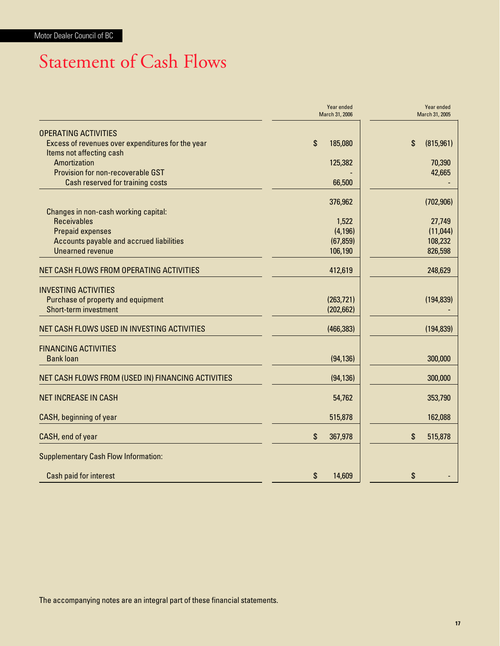## Statement of Cash Flows

|                                                                       | Year ended<br>March 31, 2006 | Year ended<br>March 31, 2005 |
|-----------------------------------------------------------------------|------------------------------|------------------------------|
| <b>OPERATING ACTIVITIES</b>                                           |                              |                              |
| Excess of revenues over expenditures for the year                     | \$<br>185,080                | (815, 961)<br>\$             |
| Items not affecting cash                                              |                              |                              |
| Amortization                                                          | 125,382                      | 70,390                       |
| Provision for non-recoverable GST<br>Cash reserved for training costs | 66,500                       | 42,665                       |
|                                                                       |                              |                              |
|                                                                       | 376,962                      | (702, 906)                   |
| Changes in non-cash working capital:                                  |                              |                              |
| <b>Receivables</b>                                                    | 1,522                        | 27,749                       |
| <b>Prepaid expenses</b>                                               | (4, 196)                     | (11, 044)                    |
| Accounts payable and accrued liabilities                              | (67, 859)                    | 108,232                      |
| <b>Unearned revenue</b>                                               | 106,190                      | 826,598                      |
| NET CASH FLOWS FROM OPERATING ACTIVITIES                              | 412,619                      | 248,629                      |
| <b>INVESTING ACTIVITIES</b>                                           |                              |                              |
| Purchase of property and equipment                                    | (263, 721)                   | (194, 839)                   |
| <b>Short-term investment</b>                                          | (202, 662)                   |                              |
|                                                                       |                              |                              |
| NET CASH FLOWS USED IN INVESTING ACTIVITIES                           | (466, 383)                   | (194, 839)                   |
| <b>FINANCING ACTIVITIES</b>                                           |                              |                              |
| <b>Bank loan</b>                                                      | (94, 136)                    | 300,000                      |
| NET CASH FLOWS FROM (USED IN) FINANCING ACTIVITIES                    | (94, 136)                    | 300,000                      |
| <b>NET INCREASE IN CASH</b>                                           | 54,762                       | 353,790                      |
| <b>CASH, beginning of year</b>                                        | 515,878                      | 162,088                      |
| CASH, end of year                                                     | \$<br>367,978                | \$<br>515,878                |
| <b>Supplementary Cash Flow Information:</b>                           |                              |                              |
| Cash paid for interest                                                | \$<br>14,609                 | \$                           |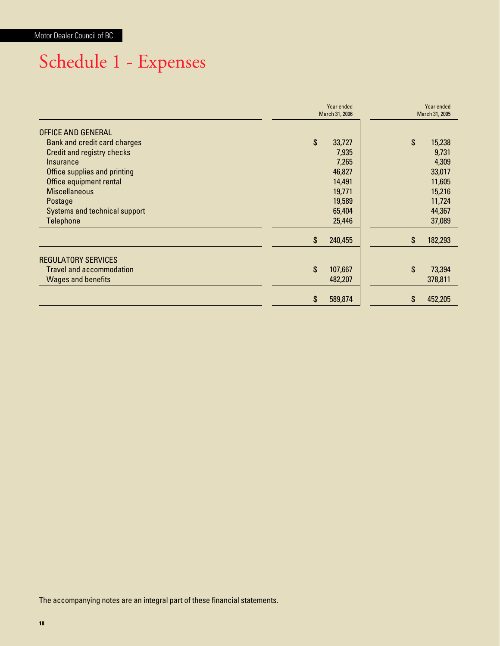# Schedule 1 - Expenses

|                                 | Year ended<br>March 31, 2006 | Year ended<br>March 31, 2005 |
|---------------------------------|------------------------------|------------------------------|
| OFFICE AND GENERAL              |                              |                              |
| Bank and credit card charges    | \$<br>33,727                 | \$<br>15,238                 |
| Credit and registry checks      | 7,935                        | 9,731                        |
| Insurance                       | 7,265                        | 4,309                        |
| Office supplies and printing    | 46,827                       | 33,017                       |
| Office equipment rental         | 14,491                       | 11,605                       |
| <b>Miscellaneous</b>            | 19,771                       | 15,216                       |
| Postage                         | 19,589                       | 11,724                       |
| Systems and technical support   | 65,404                       | 44,367                       |
| <b>Telephone</b>                | 25,446                       | 37,089                       |
|                                 | \$<br>240,455                | \$<br>182,293                |
| <b>REGULATORY SERVICES</b>      |                              |                              |
| <b>Travel and accommodation</b> | \$<br>107,667                | \$<br>73,394                 |
| <b>Wages and benefits</b>       | 482,207                      | 378,811                      |
|                                 | \$<br>589,874                | \$<br>452,205                |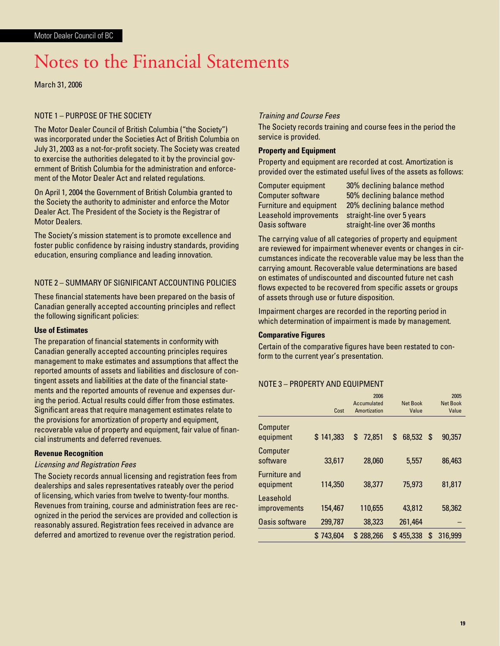## Notes to the Financial Statements

March 31, 2006

#### NOTE 1 – PURPOSE OF THE SOCIETY

The Motor Dealer Council of British Columbia ("the Society") was incorporated under the Societies Act of British Columbia on July 31, 2003 as a not-for-profit society. The Society was created to exercise the authorities delegated to it by the provincial government of British Columbia for the administration and enforcement of the Motor Dealer Act and related regulations.

On April 1, 2004 the Government of British Columbia granted to the Society the authority to administer and enforce the Motor Dealer Act. The President of the Society is the Registrar of Motor Dealers.

The Society's mission statement is to promote excellence and foster public confidence by raising industry standards, providing education, ensuring compliance and leading innovation.

#### NOTE 2 – SUMMARY OF SIGNIFICANT ACCOUNTING POLICIES

These financial statements have been prepared on the basis of Canadian generally accepted accounting principles and reflect the following significant policies:

#### **Use of Estimates**

The preparation of financial statements in conformity with Canadian generally accepted accounting principles requires management to make estimates and assumptions that affect the reported amounts of assets and liabilities and disclosure of contingent assets and liabilities at the date of the financial statements and the reported amounts of revenue and expenses during the period. Actual results could differ from those estimates. Significant areas that require management estimates relate to the provisions for amortization of property and equipment, recoverable value of property and equipment, fair value of financial instruments and deferred revenues.

#### **Revenue Recognition**

#### Licensing and Registration Fees

The Society records annual licensing and registration fees from dealerships and sales representatives rateably over the period of licensing, which varies from twelve to twenty-four months. Revenues from training, course and administration fees are recognized in the period the services are provided and collection is reasonably assured. Registration fees received in advance are deferred and amortized to revenue over the registration period.

#### Training and Course Fees

The Society records training and course fees in the period the service is provided.

#### **Property and Equipment**

Property and equipment are recorded at cost. Amortization is provided over the estimated useful lives of the assets as follows:

Computer equipment 30% declining balance method

Computer software 50% declining balance method Furniture and equipment 20% declining balance method Leasehold improvements straight-line over 5 years Oasis software straight-line over 36 months

The carrying value of all categories of property and equipment are reviewed for impairment whenever events or changes in circumstances indicate the recoverable value may be less than the carrying amount. Recoverable value determinations are based on estimates of undiscounted and discounted future net cash flows expected to be recovered from specific assets or groups of assets through use or future disposition.

Impairment charges are recorded in the reporting period in which determination of impairment is made by management.

#### **Comparative Figures**

Certain of the comparative figures have been restated to conform to the current year's presentation.

#### NOTE 3 – PROPERTY AND EQUIPMENT

|                                   |              | 2006                        |                          | 2005                     |
|-----------------------------------|--------------|-----------------------------|--------------------------|--------------------------|
|                                   | Cost         | Accumulated<br>Amortization | <b>Net Book</b><br>Value | <b>Net Book</b><br>Value |
|                                   |              |                             |                          |                          |
| Computer<br>equipment             | \$141,383    | 72,851<br>\$                | 68,532 \$<br>\$          | 90,357                   |
| Computer<br>software              | 33,617       | 28,060                      | 5,557                    | 86,463                   |
| <b>Furniture and</b><br>equipment | 114,350      | 38,377                      | 75,973                   | 81,817                   |
| Leasehold<br><i>improvements</i>  | 154,467      | 110,655                     | 43,812                   | 58,362                   |
| <b>Oasis software</b>             | 299,787      | 38,323                      | 261,464                  |                          |
|                                   | 743,604<br>S | \$288,266                   | \$455,338<br>\$          | 316,999                  |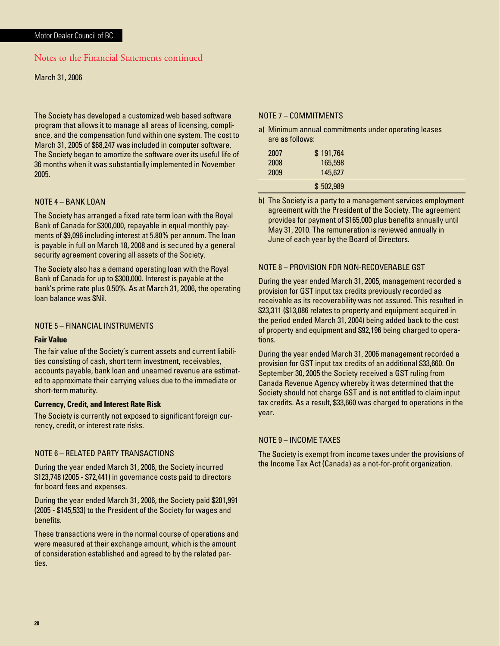#### Notes to the Financial Statements continued

#### March 31, 2006

The Society has developed a customized web based software program that allows it to manage all areas of licensing, compliance, and the compensation fund within one system. The cost to March 31, 2005 of \$68,247 was included in computer software. The Society began to amortize the software over its useful life of 36 months when it was substantially implemented in November 2005.

#### NOTE 4 – BANK LOAN

The Society has arranged a fixed rate term loan with the Royal Bank of Canada for \$300,000, repayable in equal monthly payments of \$9,096 including interest at 5.80% per annum. The loan is payable in full on March 18, 2008 and is secured by a general security agreement covering all assets of the Society.

The Society also has a demand operating loan with the Royal Bank of Canada for up to \$300,000. Interest is payable at the bank's prime rate plus 0.50%. As at March 31, 2006, the operating loan balance was \$Nil.

#### NOTE 5 – FINANCIAL INSTRUMENTS

#### **Fair Value**

The fair value of the Society's current assets and current liabilities consisting of cash, short term investment, receivables, accounts payable, bank loan and unearned revenue are estimated to approximate their carrying values due to the immediate or short-term maturity.

#### **Currency, Credit, and Interest Rate Risk**

The Society is currently not exposed to significant foreign currency, credit, or interest rate risks.

#### NOTE 6 – RELATED PARTY TRANSACTIONS

During the year ended March 31, 2006, the Society incurred \$123,748 (2005 - \$72,441) in governance costs paid to directors for board fees and expenses.

During the year ended March 31, 2006, the Society paid \$201,991 (2005 - \$145,533) to the President of the Society for wages and benefits.

These transactions were in the normal course of operations and were measured at their exchange amount, which is the amount of consideration established and agreed to by the related parties.

#### NOTE 7 – COMMITMENTS

a) Minimum annual commitments under operating leases are as follows:

| 2007 | \$191,764 |  |
|------|-----------|--|
| 2008 | 165,598   |  |
| 2009 | 145,627   |  |
|      | \$502,989 |  |

b) The Society is a party to a management services employment agreement with the President of the Society. The agreement provides for payment of \$165,000 plus benefits annually until May 31, 2010. The remuneration is reviewed annually in June of each year by the Board of Directors.

#### NOTE 8 – PROVISION FOR NON-RECOVERABLE GST

During the year ended March 31, 2005, management recorded a provision for GST input tax credits previously recorded as receivable as its recoverability was not assured. This resulted in \$23,311 (\$13,086 relates to property and equipment acquired in the period ended March 31, 2004) being added back to the cost of property and equipment and \$92,196 being charged to operations.

During the year ended March 31, 2006 management recorded a provision for GST input tax credits of an additional \$33,660. On September 30, 2005 the Society received a GST ruling from Canada Revenue Agency whereby it was determined that the Society should not charge GST and is not entitled to claim input tax credits. As a result, \$33,660 was charged to operations in the year.

#### NOTE 9 – INCOME TAXES

The Society is exempt from income taxes under the provisions of the Income Tax Act (Canada) as a not-for-profit organization.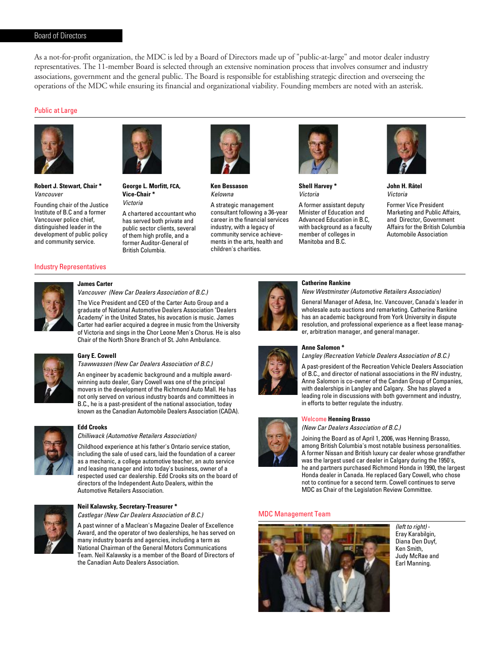#### Board of Directors

As a not-for-profit organization, the MDC is led by a Board of Directors made up of "public-at-large" and motor dealer industry representatives. The 11-member Board is selected through an extensive nomination process that involves consumer and industry associations, government and the general public. The Board is responsible for establishing strategic direction and overseeing the operations of the MDC while ensuring its financial and organizational viability. Founding members are noted with an asterisk.

#### Public at Large

![](_page_22_Picture_3.jpeg)

**Robert J. Stewart, Chair \*** Vancouver

Founding chair of the Justice Institute of B.C and a former Vancouver police chief, distinguished leader in the development of public policy and community service.

![](_page_22_Picture_6.jpeg)

**George L. Morfitt, FCA, Vice-Chair \*** Victoria

A chartered accountant who has served both private and public sector clients, several of them high profile, and a former Auditor-General of British Columbia.

![](_page_22_Picture_9.jpeg)

**Ken Bessason** Kelowna

A strategic management consultant following a 36-year career in the financial services industry, with a legacy of community service achievements in the arts, health and children's charities.

![](_page_22_Picture_12.jpeg)

**Shell Harvey \*** Victoria

A former assistant deputy Minister of Education and Advanced Education in B.C, with background as a faculty member of colleges in Manitoba and B.C.

![](_page_22_Picture_15.jpeg)

**John H. Râtel** Victoria

Former Vice President Marketing and Public Affairs, and Director, Government Affairs for the British Columbia Automobile Association

#### Industry Representatives

![](_page_22_Picture_19.jpeg)

#### **James Carter**

Vancouver (New Car Dealers Association of B.C.) The Vice President and CEO of the Carter Auto Group and a graduate of National Automotive Dealers Association "Dealers

Academy" in the United States, his avocation is music. James Carter had earlier acquired a degree in music from the University of Victoria and sings in the Chor Leone Men's Chorus. He is also Chair of the North Shore Branch of St. John Ambulance.

![](_page_22_Picture_23.jpeg)

#### **Gary E. Cowell**  Tsawwassen (New Car Dealers Association of B.C.)

**Edd Crooks**

An engineer by academic background and a multiple awardwinning auto dealer, Gary Cowell was one of the principal movers in the development of the Richmond Auto Mall. He has not only served on various industry boards and committees in

B.C., he is a past-president of the national association, today known as the Canadian Automobile Dealers Association (CADA).

![](_page_22_Picture_27.jpeg)

#### Chilliwack (Automotive Retailers Association)

Childhood experience at his father's Ontario service station, including the sale of used cars, laid the foundation of a career as a mechanic, a college automotive teacher, an auto service and leasing manager and into today's business, owner of a respected used car dealership. Edd Crooks sits on the board of directors of the Independent Auto Dealers, within the Automotive Retailers Association.

![](_page_22_Picture_30.jpeg)

#### **Neil Kalawsky, Secretary-Treasurer \***

Castlegar (New Car Dealers Association of B.C.)

A past winner of a Maclean's Magazine Dealer of Excellence Award, and the operator of two dealerships, he has served on many industry boards and agencies, including a term as National Chairman of the General Motors Communications Team. Neil Kalawsky is a member of the Board of Directors of the Canadian Auto Dealers Association.

![](_page_22_Picture_34.jpeg)

#### **Catherine Rankine**

New Westminster (Automotive Retailers Association)

General Manager of Adesa, Inc. Vancouver, Canada's leader in wholesale auto auctions and remarketing. Catherine Rankine has an academic background from York University in dispute resolution, and professional experience as a fleet lease manager, arbitration manager, and general manager.

#### **Anne Salomon \***

Langley (Recreation Vehicle Dealers Association of B.C.)

A past-president of the Recreation Vehicle Dealers Association of B.C., and director of national associations in the RV industry, Anne Salomon is co-owner of the Candan Group of Companies, with dealerships in Langley and Calgary. She has played a leading role in discussions with both government and industry, in efforts to better regulate the industry.

#### Welcome **Henning Brasso**

(New Car Dealers Association of B.C.)

Joining the Board as of April 1, 2006, was Henning Brasso, among British Columbia's most notable business personalities. A former Nissan and British luxury car dealer whose grandfather was the largest used car dealer in Calgary during the 1950's, he and partners purchased Richmond Honda in 1990, the largest Honda dealer in Canada. He replaced Gary Cowell, who chose not to continue for a second term. Cowell continues to serve MDC as Chair of the Legislation Review Committee.

#### MDC Management Team

![](_page_22_Picture_45.jpeg)

(left to right) - Eray Karabilgin, Diana Den Duyf, Ken Smith, Judy McRae and Earl Manning.